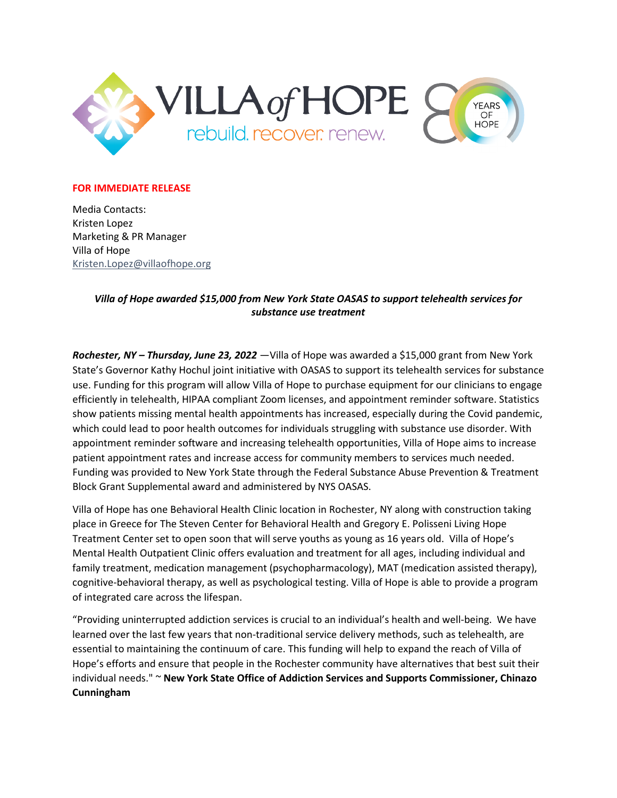

## **FOR IMMEDIATE RELEASE**

Media Contacts: Kristen Lopez Marketing & PR Manager Villa of Hope [Kristen.Lopez@v](mailto:Kristen.Lopez@)illaofhope.org

## *Villa of Hope awarded \$15,000 from New York State OASAS to support telehealth services for substance use treatment*

*Rochester, NY – Thursday, June 23, 2022* —Villa of Hope was awarded a \$15,000 grant from New York State's Governor Kathy Hochul joint initiative with OASAS to support its telehealth services for substance use. Funding for this program will allow Villa of Hope to purchase equipment for our clinicians to engage efficiently in telehealth, HIPAA compliant Zoom licenses, and appointment reminder software. Statistics show patients missing mental health appointments has increased, especially during the Covid pandemic, which could lead to poor health outcomes for individuals struggling with substance use disorder. With appointment reminder software and increasing telehealth opportunities, Villa of Hope aims to increase patient appointment rates and increase access for community members to services much needed. Funding was provided to New York State through the Federal Substance Abuse Prevention & Treatment Block Grant Supplemental award and administered by NYS OASAS.

Villa of Hope has one Behavioral Health Clinic location in Rochester, NY along with construction taking place in Greece for The Steven Center for Behavioral Health and Gregory E. Polisseni Living Hope Treatment Center set to open soon that will serve youths as young as 16 years old. Villa of Hope's Mental Health Outpatient Clinic offers evaluation and treatment for all ages, including individual and family treatment, medication management (psychopharmacology), MAT (medication assisted therapy), cognitive-behavioral therapy, as well as psychological testing. Villa of Hope is able to provide a program of integrated care across the lifespan.

"Providing uninterrupted addiction services is crucial to an individual's health and well-being. We have learned over the last few years that non-traditional service delivery methods, such as telehealth, are essential to maintaining the continuum of care. This funding will help to expand the reach of Villa of Hope's efforts and ensure that people in the Rochester community have alternatives that best suit their individual needs." ~ **New York State Office of Addiction Services and Supports Commissioner, Chinazo Cunningham**